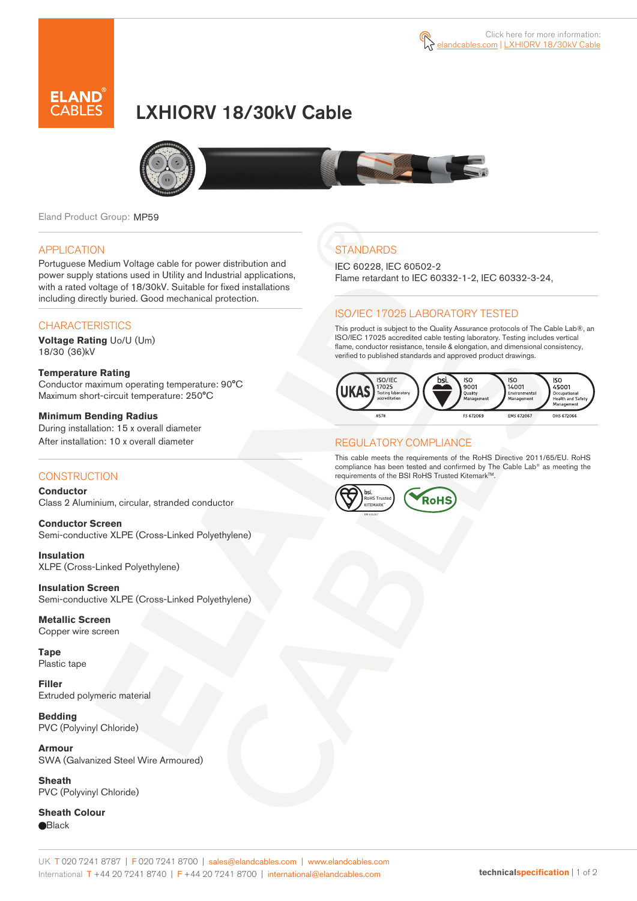

# LXHIORV 18/30kV Cable



Eland Product Group: MP59

### APPLICATION

Portuguese Medium Voltage cable for power distribution and power supply stations used in Utility and Industrial applications, with a rated voltage of 18/30kV. Suitable for fixed installations including directly buried. Good mechanical protection.

### **CHARACTERISTICS**

**Voltage Rating** Uo/U (Um) 18/30 (36)kV

#### **Temperature Rating**  Conductor maximum operating temperature: 90°C Maximum short-circuit temperature: 250°C

**Minimum Bending Radius**  During installation: 15 x overall diameter After installation: 10 x overall diameter

### **CONSTRUCTION**

**Conductor**  Class 2 Aluminium, circular, stranded conductor

**Conductor Screen** Semi-conductive XLPE (Cross-Linked Polyethylene)

**Insulation** XLPE (Cross-Linked Polyethylene)

**Insulation Screen** Semi-conductive XLPE (Cross-Linked Polyethylene)

**Metallic Screen**  Copper wire screen

**Tape**  Plastic tape

**Filler** Extruded polymeric material

**Bedding** PVC (Polyvinyl Chloride)

**Armour** SWA (Galvanized Steel Wire Armoured)

**Sheath** PVC (Polyvinyl Chloride)

**Sheath Colour Black** 

# **STANDARDS**

IEC 60228, IEC 60502-2 Flame retardant to IEC 60332-1-2, IEC 60332-3-24,

### ISO/IEC 17025 LABORATORY TESTED

This product is subject to the Quality Assurance protocols of The Cable Lab®, an ISO/IEC 17025 accredited cable testing laboratory. Testing includes vertical flame, conductor resistance, tensile & elongation, and dimensional consistency, verified to published standards and approved product drawings.



### REGULATORY COMPLIANCE

This cable meets the requirements of the RoHS Directive 2011/65/EU. RoHS compliance has been tested and confirmed by The Cable Lab® as meeting the requirements of the BSI RoHS Trusted Kitemark<sup>TM</sup>.